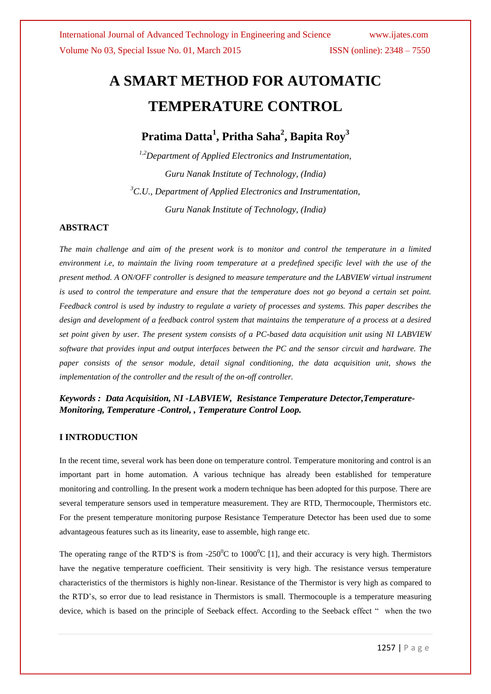# **A SMART METHOD FOR AUTOMATIC TEMPERATURE CONTROL**

# **Pratima Datta<sup>1</sup> , Pritha Saha<sup>2</sup> , Bapita Roy<sup>3</sup>**

*1,2Department of Applied Electronics and Instrumentation, Guru Nanak Institute of Technology, (India) <sup>3</sup>C.U., Department of Applied Electronics and Instrumentation, Guru Nanak Institute of Technology, (India)*

### **ABSTRACT**

*The main challenge and aim of the present work is to monitor and control the temperature in a limited environment i.e, to maintain the living room temperature at a predefined specific level with the use of the present method. A ON/OFF controller is designed to measure temperature and the LABVIEW virtual instrument is used to control the temperature and ensure that the temperature does not go beyond a certain set point. Feedback control is used by industry to regulate a variety of processes and systems. This paper describes the design and development of a feedback control system that maintains the temperature of a process at a desired set point given by user. The present system consists of a PC-based data acquisition unit using NI LABVIEW software that provides input and output interfaces between the PC and the sensor circuit and hardware. The paper consists of the sensor module, detail signal conditioning, the data acquisition unit, shows the implementation of the controller and the result of the on-off controller.*

*Keywords : Data Acquisition, NI -LABVIEW, Resistance Temperature Detector,Temperature-Monitoring, Temperature -Control, , Temperature Control Loop.*

### **I INTRODUCTION**

In the recent time, several work has been done on temperature control. Temperature monitoring and control is an important part in home automation. A various technique has already been established for temperature monitoring and controlling. In the present work a modern technique has been adopted for this purpose. There are several temperature sensors used in temperature measurement. They are RTD, Thermocouple, Thermistors etc. For the present temperature monitoring purpose Resistance Temperature Detector has been used due to some advantageous features such as its linearity, ease to assemble, high range etc.

The operating range of the RTD'S is from -250<sup>0</sup>C to 1000<sup>0</sup>C [1], and their accuracy is very high. Thermistors have the negative temperature coefficient. Their sensitivity is very high. The resistance versus temperature characteristics of the thermistors is highly non-linear. Resistance of the Thermistor is very high as compared to the RTD's, so error due to lead resistance in Thermistors is small. Thermocouple is a temperature measuring device, which is based on the principle of Seeback effect. According to the Seeback effect " when the two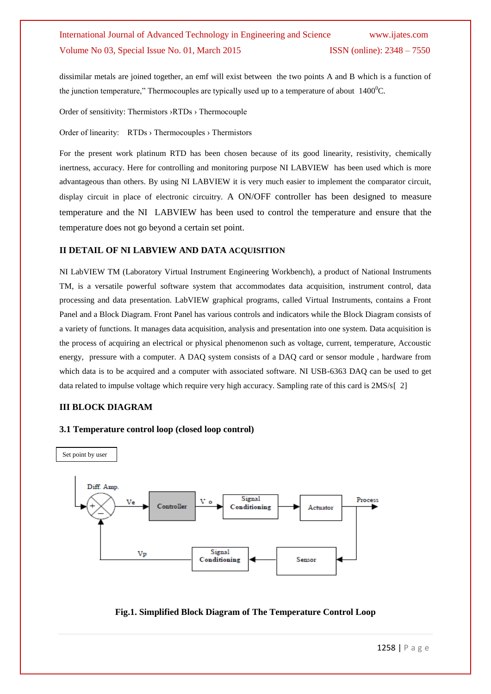dissimilar metals are joined together, an emf will exist between the two points A and B which is a function of the junction temperature," Thermocouples are typically used up to a temperature of about  $1400^{\circ}$ C.

Order of sensitivity: Thermistors ›RTDs › Thermocouple

Order of linearity: RTDs › Thermocouples › Thermistors

For the present work platinum RTD has been chosen because of its good linearity, resistivity, chemically inertness, accuracy. Here for controlling and monitoring purpose NI LABVIEW has been used which is more advantageous than others. By using NI LABVIEW it is very much easier to implement the comparator circuit, display circuit in place of electronic circuitry. A ON/OFF controller has been designed to measure temperature and the NI LABVIEW has been used to control the temperature and ensure that the temperature does not go beyond a certain set point.

#### **II DETAIL OF NI LABVIEW AND DATA ACQUISITION**

NI LabVIEW TM (Laboratory Virtual Instrument Engineering Workbench), a product of National Instruments TM, is a versatile powerful software system that accommodates data acquisition, instrument control, data processing and data presentation. LabVIEW graphical programs, called Virtual Instruments, contains a Front Panel and a Block Diagram. Front Panel has various controls and indicators while the Block Diagram consists of a variety of functions. It manages data acquisition, analysis and presentation into one system. Data acquisition is the process of acquiring an electrical or physical phenomenon such as voltage, current, temperature, Accoustic energy, pressure with a computer. A DAQ system consists of a DAQ card or sensor module , hardware from which data is to be acquired and a computer with associated software. NI USB-6363 DAQ can be used to get data related to impulse voltage which require very high accuracy. Sampling rate of this card is 2MS/s[ 2]

#### **III BLOCK DIAGRAM**





#### **Fig.1. Simplified Block Diagram of The Temperature Control Loop**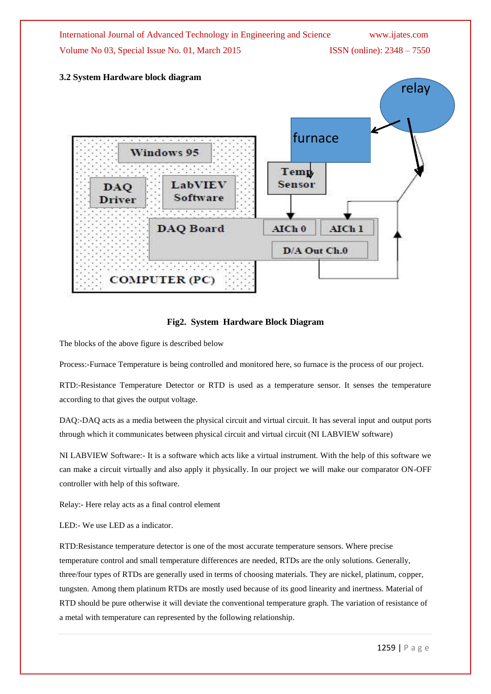

### **3.2 System Hardware block diagram**



**Fig2. System Hardware Block Diagram**

The blocks of the above figure is described below

Process:-Furnace Temperature is being controlled and monitored here, so furnace is the process of our project.

RTD:-Resistance Temperature Detector or RTD is used as a temperature sensor. It senses the temperature according to that gives the output voltage.

DAQ:-DAQ acts as a media between the physical circuit and virtual circuit. It has several input and output ports through which it communicates between physical circuit and virtual circuit (NI LABVIEW software)

NI LABVIEW Software:- It is a software which acts like a virtual instrument. With the help of this software we can make a circuit virtually and also apply it physically. In our project we will make our comparator ON-OFF controller with help of this software.

Relay:- Here relay acts as a final control element

LED:- We use LED as a indicator.

RTD:Resistance temperature detector is one of the most accurate temperature sensors. Where precise temperature control and small temperature differences are needed, RTDs are the only solutions. Generally, three/four types of RTDs are generally used in terms of choosing materials. They are nickel, platinum, copper, tungsten. Among them platinum RTDs are mostly used because of its good linearity and inertness. Material of RTD should be pure otherwise it will deviate the conventional temperature graph. The variation of resistance of a metal with temperature can represented by the following relationship.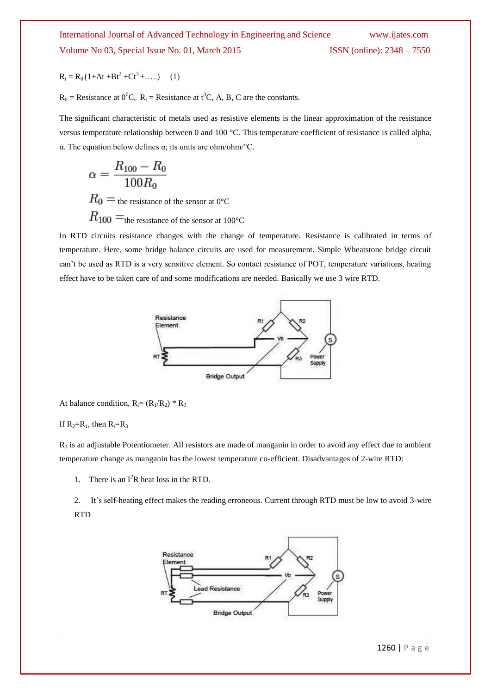$$
R_t = R_0 (1 + At + Bt^2 + Ct^3 + \dots)
$$
 (1)

 $R_0$  = Resistance at  $0^0C$ ,  $R_t$  = Resistance at  $t^0C$ , A, B, C are the constants.

The significant characteristic of metals used as resistive elements is the linear approximation of the resistance versus temperature relationship between 0 and 100 °C. This temperature coefficient of resistance is called alpha, α. The equation below defines α; its units are ohm/ohm/°C.

$$
\alpha = \frac{R_{100} - R_0}{100R_0}
$$
  
\n
$$
R_0 =
$$
the resistance of the sensor at 0°C  
\n
$$
R_{100} =
$$
the resistance of the sensor at 100°C

In RTD circuits resistance changes with the change of temperature. Resistance is calibrated in terms of temperature. Here, some bridge balance circuits are used for measurement. Simple Wheatstone bridge circuit can't be used as RTD is a very sensitive element. So contact resistance of POT, temperature variations, heating effect have to be taken care of and some modifications are needed. Basically we use 3 wire RTD.



At balance condition,  $R_1 = (R_1/R_2) * R_3$ 

If  $R_2=R_1$ , then  $R_1=R_3$ 

 $R_3$  is an adjustable Potentiometer. All resistors are made of manganin in order to avoid any effect due to ambient temperature change as manganin has the lowest temperature co-efficient. Disadvantages of 2-wire RTD:

1. There is an  $I^2R$  heat loss in the RTD.

2. It's self-heating effect makes the reading erroneous. Current through RTD must be low to avoid 3-wire RTD

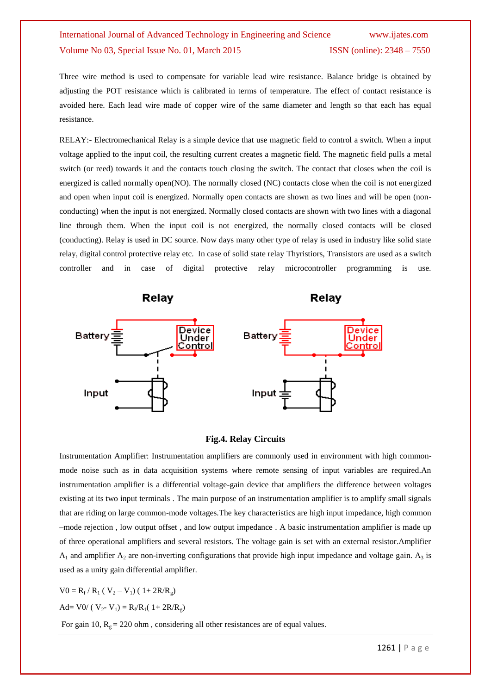Three wire method is used to compensate for variable lead wire resistance. Balance bridge is obtained by adjusting the POT resistance which is calibrated in terms of temperature. The effect of contact resistance is avoided here. Each lead wire made of copper wire of the same diameter and length so that each has equal resistance.

RELAY:- Electromechanical Relay is a simple device that use magnetic field to control a switch. When a input voltage applied to the input coil, the resulting current creates a magnetic field. The magnetic field pulls a metal switch (or reed) towards it and the contacts touch closing the switch. The contact that closes when the coil is energized is called normally open(NO). The normally closed (NC) contacts close when the coil is not energized and open when input coil is energized. Normally open contacts are shown as two lines and will be open (nonconducting) when the input is not energized. Normally closed contacts are shown with two lines with a diagonal line through them. When the input coil is not energized, the normally closed contacts will be closed (conducting). Relay is used in DC source. Now days many other type of relay is used in industry like solid state relay, digital control protective relay etc. In case of solid state relay Thyristiors, Transistors are used as a switch controller and in case of digital protective relay microcontroller programming is use.



#### **Fig.4. Relay Circuits**

Instrumentation Amplifier: Instrumentation amplifiers are commonly used in environment with high commonmode noise such as in data acquisition systems where remote sensing of input variables are required.An instrumentation amplifier is a differential voltage-gain device that amplifiers the difference between voltages existing at its two input terminals . The main purpose of an instrumentation amplifier is to amplify small signals that are riding on large common-mode voltages.The key characteristics are high input impedance, high common –mode rejection , low output offset , and low output impedance . A basic instrumentation amplifier is made up of three operational amplifiers and several resistors. The voltage gain is set with an external resistor.Amplifier  $A_1$  and amplifier  $A_2$  are non-inverting configurations that provide high input impedance and voltage gain.  $A_3$  is used as a unity gain differential amplifier.

 $V0 = R_f / R_1 (V_2 - V_1) (1 + 2R/R_g)$ 

Ad= V0/ ( $V_2 - V_1$ ) =  $R_f/R_1(1 + 2R/R_g)$ 

For gain 10,  $R_g = 220$  ohm, considering all other resistances are of equal values.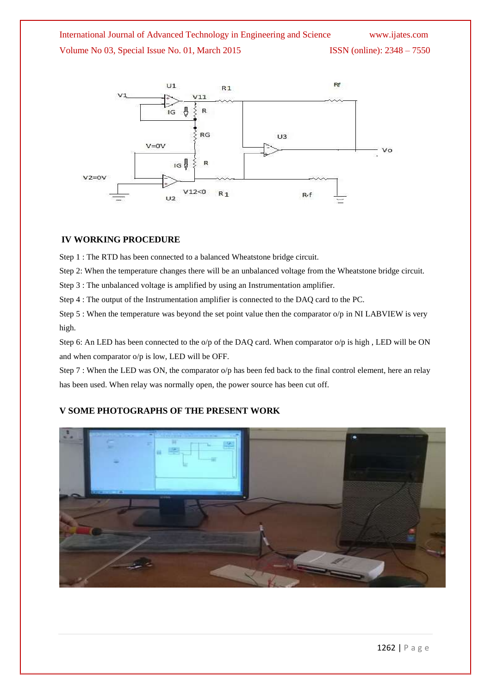

## **IV WORKING PROCEDURE**

Step 1 : The RTD has been connected to a balanced Wheatstone bridge circuit.

Step 2: When the temperature changes there will be an unbalanced voltage from the Wheatstone bridge circuit.

Step 3 : The unbalanced voltage is amplified by using an Instrumentation amplifier.

Step 4 : The output of the Instrumentation amplifier is connected to the DAQ card to the PC.

Step 5 : When the temperature was beyond the set point value then the comparator  $o/p$  in NI LABVIEW is very high.

Step 6: An LED has been connected to the o/p of the DAQ card. When comparator o/p is high, LED will be ON and when comparator o/p is low, LED will be OFF.

Step 7 : When the LED was ON, the comparator o/p has been fed back to the final control element, here an relay has been used. When relay was normally open, the power source has been cut off.

# **V SOME PHOTOGRAPHS OF THE PRESENT WORK**